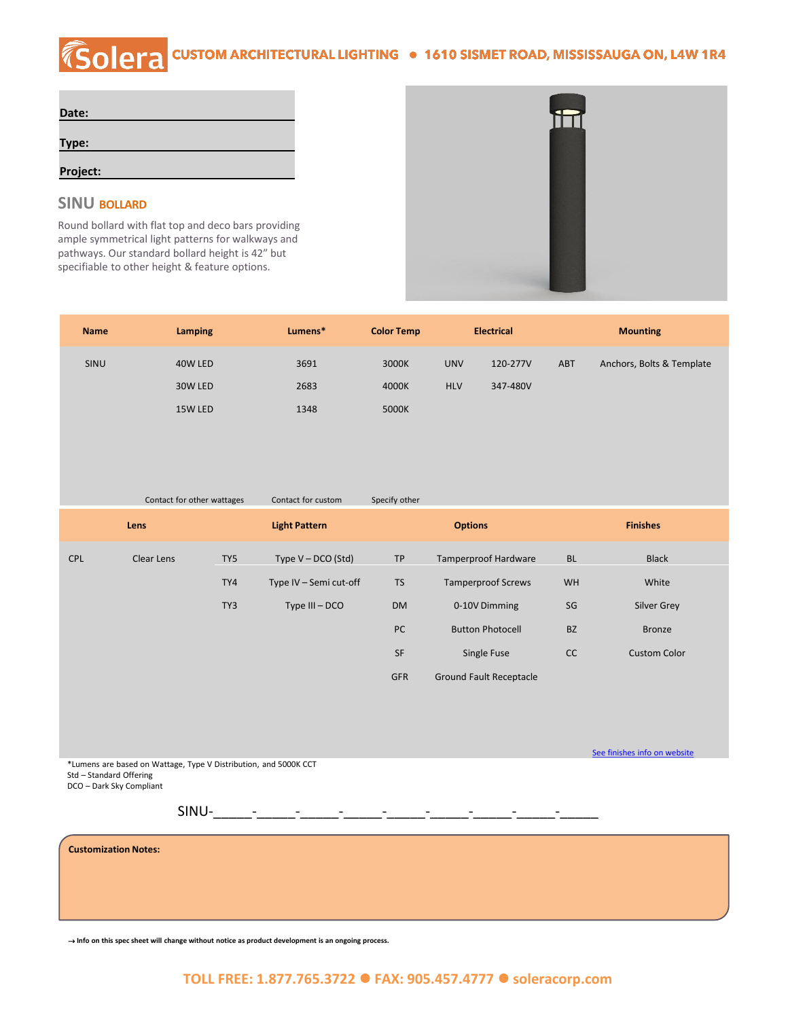# COCHA CUSTOM ARCHITECTURAL LIGHTING . 1610 SISMET ROAD, MISSISSAUGA ON, L4W 1R4

| Date:    |  |
|----------|--|
| Type:    |  |
| Project: |  |

#### **SINU BOLLARD**

Round bollard with flat top and deco bars providing ample symmetrical light patterns for walkways and pathways. Our standard bollard height is 42" but specifiable to other height & feature options.



See [finishes info on website](http://soleracorp.com/ral.html)

| <b>Name</b> | Lamping | Lumens* | <b>Color Temp</b> |            | <b>Electrical</b> |            | <b>Mounting</b>           |
|-------------|---------|---------|-------------------|------------|-------------------|------------|---------------------------|
| <b>SINU</b> | 40W LED | 3691    | 3000K             | <b>UNV</b> | 120-277V          | <b>ABT</b> | Anchors, Bolts & Template |
|             | 30W LED | 2683    | 4000K             | <b>HLV</b> | 347-480V          |            |                           |
|             | 15W LED | 1348    | 5000K             |            |                   |            |                           |

|            | Contact for other wattages |     | Contact for custom     | Specify other  |                                |                 |                     |
|------------|----------------------------|-----|------------------------|----------------|--------------------------------|-----------------|---------------------|
|            | Lens                       |     | <b>Light Pattern</b>   | <b>Options</b> |                                | <b>Finishes</b> |                     |
| <b>CPL</b> | Clear Lens                 | TY5 | Type $V - DCO$ (Std)   | <b>TP</b>      | <b>Tamperproof Hardware</b>    | <b>BL</b>       | <b>Black</b>        |
|            |                            | TY4 | Type IV - Semi cut-off | <b>TS</b>      | <b>Tamperproof Screws</b>      | <b>WH</b>       | White               |
|            |                            | TY3 | Type III - DCO         | <b>DM</b>      | 0-10V Dimming                  | SG              | <b>Silver Grey</b>  |
|            |                            |     |                        | <b>PC</b>      | <b>Button Photocell</b>        | <b>BZ</b>       | <b>Bronze</b>       |
|            |                            |     |                        | SF             | Single Fuse                    | <b>CC</b>       | <b>Custom Color</b> |
|            |                            |     |                        | <b>GFR</b>     | <b>Ground Fault Receptacle</b> |                 |                     |

\*Lumens are based on Wattage, Type V Distribution, and 5000K CCT Std – Standard Offering DCO – Dark Sky Compliant

SINU-\_\_\_\_\_-\_\_\_\_\_-\_\_\_\_\_-\_\_\_\_\_-\_\_\_\_\_-\_\_\_\_\_-\_\_\_\_\_-\_\_\_\_\_-\_\_\_\_\_

**Customization Notes:**

⇢ **Info on this spec sheet will change without notice as product development is an ongoing process.**

#### **TOLL FREE: 1.877.765.3722** ⚫ **FAX: 905.457.4777** ⚫ **soleracorp.com**